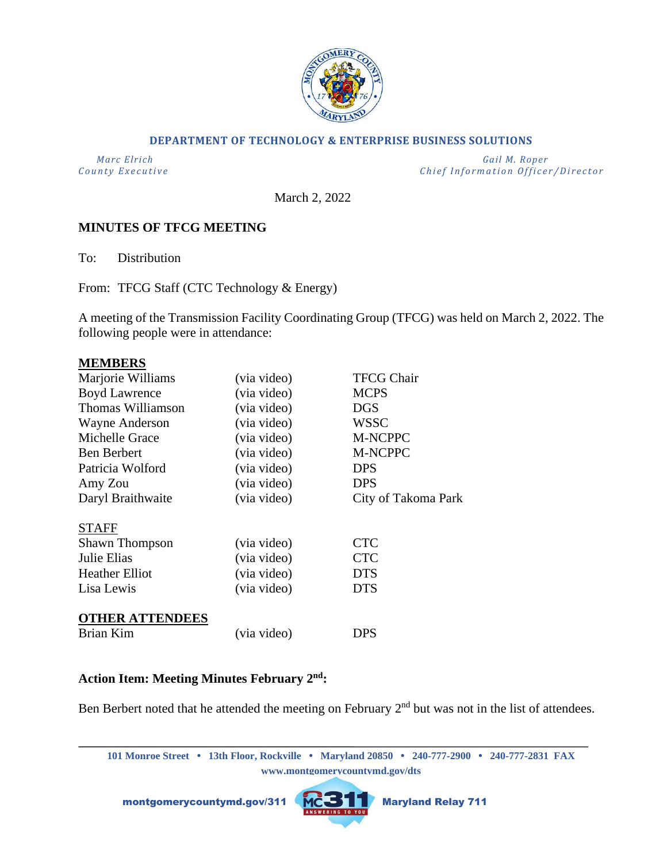

#### **DEPARTMENT OF TECHNOLOGY & ENTERPRISE BUSINESS SOLUTIONS**

 *Marc Elrich Gail M. Roper County Executive County Executive Chief Information Officer/Director* 

March 2, 2022

### **MINUTES OF TFCG MEETING**

To: Distribution

From: TFCG Staff (CTC Technology & Energy)

A meeting of the Transmission Facility Coordinating Group (TFCG) was held on March 2, 2022. The following people were in attendance:

#### **MEMBERS**

| Marjorie Williams      | (via video) | <b>TFCG Chair</b>   |
|------------------------|-------------|---------------------|
| <b>Boyd Lawrence</b>   | (via video) | <b>MCPS</b>         |
| Thomas Williamson      | (via video) | <b>DGS</b>          |
| Wayne Anderson         | (via video) | <b>WSSC</b>         |
| Michelle Grace         | (via video) | M-NCPPC             |
| <b>Ben Berbert</b>     | (via video) | M-NCPPC             |
| Patricia Wolford       | (via video) | <b>DPS</b>          |
| Amy Zou                | (via video) | <b>DPS</b>          |
| Daryl Braithwaite      | (via video) | City of Takoma Park |
| <b>STAFF</b>           |             |                     |
| <b>Shawn Thompson</b>  | (via video) | <b>CTC</b>          |
| Julie Elias            | (via video) | <b>CTC</b>          |
| <b>Heather Elliot</b>  | (via video) | <b>DTS</b>          |
| Lisa Lewis             | (via video) | <b>DTS</b>          |
| <b>OTHER ATTENDEES</b> |             |                     |
| Brian Kim              | (via video) | DPS                 |

# **Action Item: Meeting Minutes February 2nd:**

Ben Berbert noted that he attended the meeting on February  $2<sup>nd</sup>$  but was not in the list of attendees.

**101 Monroe Street • 13th Floor, Rockville • Maryland 20850 • 240-777-2900 • 240-777-2831 FAX www.montgomerycountymd.gov/dts**

montgomerycountymd.gov/311 MCSTT Maryland Relay 711

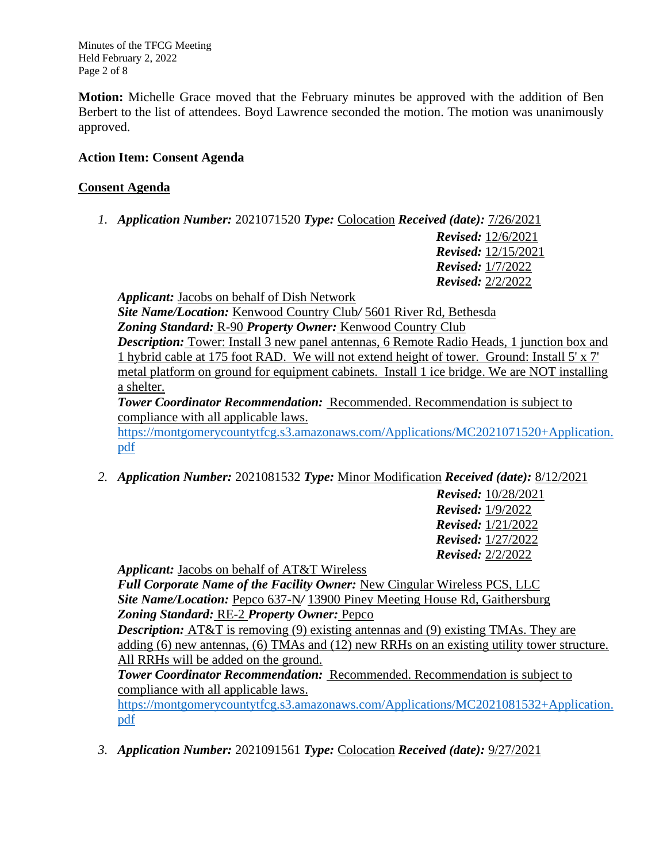Minutes of the TFCG Meeting Held February 2, 2022 Page 2 of 8

**Motion:** Michelle Grace moved that the February minutes be approved with the addition of Ben Berbert to the list of attendees. Boyd Lawrence seconded the motion. The motion was unanimously approved.

# **Action Item: Consent Agenda**

# **Consent Agenda**

*1. Application Number:* 2021071520 *Type:* Colocation *Received (date):* 7/26/2021

*Revised:* 12/6/2021 *Revised:* 12/15/2021 *Revised:* 1/7/2022 *Revised:* 2/2/2022

*Applicant:* Jacobs on behalf of Dish Network

*Site Name/Location:* Kenwood Country Club*/* 5601 River Rd, Bethesda *Zoning Standard:* R-90 *Property Owner:* Kenwood Country Club

*Description:* Tower: Install 3 new panel antennas, 6 Remote Radio Heads, 1 junction box and 1 hybrid cable at 175 foot RAD. We will not extend height of tower. Ground: Install 5' x 7' metal platform on ground for equipment cabinets. Install 1 ice bridge. We are NOT installing a shelter.

**Tower Coordinator Recommendation: Recommended. Recommendation is subject to** compliance with all applicable laws.

[https://montgomerycountytfcg.s3.amazonaws.com/Applications/MC2021071520+Application.](https://montgomerycountytfcg.s3.amazonaws.com/Applications/MC2021071520+Application.pdf) [pdf](https://montgomerycountytfcg.s3.amazonaws.com/Applications/MC2021071520+Application.pdf)

*2. Application Number:* 2021081532 *Type:* Minor Modification *Received (date):* 8/12/2021

*Revised:* 10/28/2021 *Revised:* 1/9/2022 *Revised:* 1/21/2022 *Revised:* 1/27/2022 *Revised:* 2/2/2022

*Applicant:* Jacobs on behalf of AT&T Wireless

*Full Corporate Name of the Facility Owner:* New Cingular Wireless PCS, LLC *Site Name/Location:* Pepco 637-N*/* 13900 Piney Meeting House Rd, Gaithersburg *Zoning Standard:* RE-2 *Property Owner:* Pepco

*Description:* AT&T is removing (9) existing antennas and (9) existing TMAs. They are adding (6) new antennas, (6) TMAs and (12) new RRHs on an existing utility tower structure. All RRHs will be added on the ground.

*Tower Coordinator Recommendation:* Recommended. Recommendation is subject to compliance with all applicable laws.

[https://montgomerycountytfcg.s3.amazonaws.com/Applications/MC2021081532+Application.](https://montgomerycountytfcg.s3.amazonaws.com/Applications/MC2021081532+Application.pdf) [pdf](https://montgomerycountytfcg.s3.amazonaws.com/Applications/MC2021081532+Application.pdf)

*3. Application Number:* 2021091561 *Type:* Colocation *Received (date):* 9/27/2021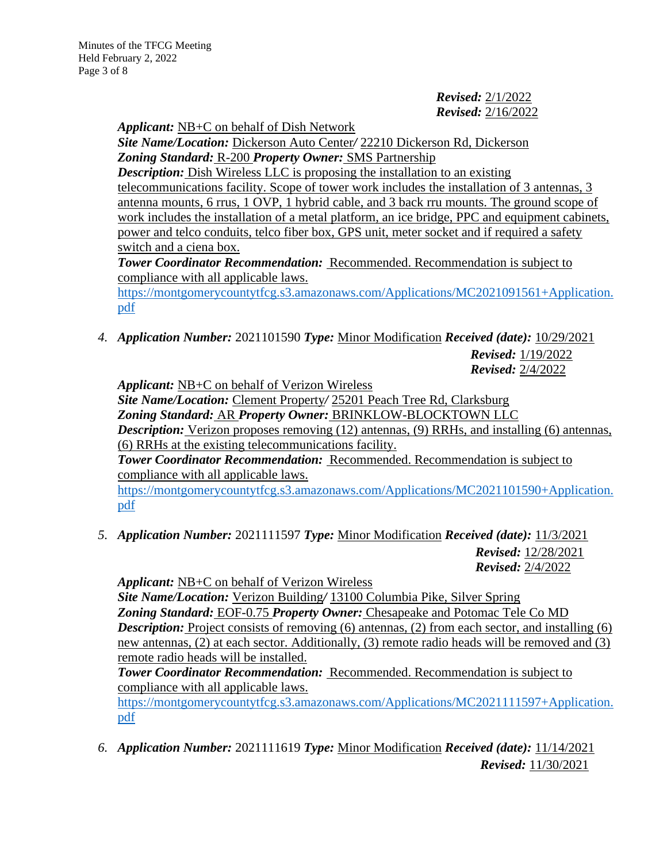Minutes of the TFCG Meeting Held February 2, 2022 Page 3 of 8

> *Revised:* 2/1/2022 *Revised:* 2/16/2022

*Applicant:* NB+C on behalf of Dish Network

*Site Name/Location:* Dickerson Auto Center*/* 22210 Dickerson Rd, Dickerson *Zoning Standard:* R-200 *Property Owner:* SMS Partnership

*Description:* Dish Wireless LLC is proposing the installation to an existing telecommunications facility. Scope of tower work includes the installation of 3 antennas, 3 antenna mounts, 6 rrus, 1 OVP, 1 hybrid cable, and 3 back rru mounts. The ground scope of work includes the installation of a metal platform, an ice bridge, PPC and equipment cabinets, power and telco conduits, telco fiber box, GPS unit, meter socket and if required a safety switch and a ciena box.

**Tower Coordinator Recommendation:** Recommended. Recommendation is subject to compliance with all applicable laws.

[https://montgomerycountytfcg.s3.amazonaws.com/Applications/MC2021091561+Application.](https://montgomerycountytfcg.s3.amazonaws.com/Applications/MC2021091561+Application.pdf) [pdf](https://montgomerycountytfcg.s3.amazonaws.com/Applications/MC2021091561+Application.pdf)

*4. Application Number:* 2021101590 *Type:* Minor Modification *Received (date):* 10/29/2021

*Revised:* 1/19/2022 *Revised:* 2/4/2022

*Applicant:* NB+C on behalf of Verizon Wireless *Site Name/Location:* Clement Property*/* 25201 Peach Tree Rd, Clarksburg *Zoning Standard:* AR *Property Owner:* BRINKLOW-BLOCKTOWN LLC *Description:* Verizon proposes removing (12) antennas, (9) RRHs, and installing (6) antennas, (6) RRHs at the existing telecommunications facility. *Tower Coordinator Recommendation:* Recommended. Recommendation is subject to compliance with all applicable laws. [https://montgomerycountytfcg.s3.amazonaws.com/Applications/MC2021101590+Application.](https://montgomerycountytfcg.s3.amazonaws.com/Applications/MC2021101590+Application.pdf)

[pdf](https://montgomerycountytfcg.s3.amazonaws.com/Applications/MC2021101590+Application.pdf)

*5. Application Number:* 2021111597 *Type:* Minor Modification *Received (date):* 11/3/2021 *Revised:* 12/28/2021 *Revised:* 2/4/2022

*Applicant:* NB+C on behalf of Verizon Wireless *Site Name/Location:* Verizon Building*/* 13100 Columbia Pike, Silver Spring *Zoning Standard:* EOF-0.75 *Property Owner:* Chesapeake and Potomac Tele Co MD **Description:** Project consists of removing (6) antennas, (2) from each sector, and installing (6) new antennas, (2) at each sector. Additionally, (3) remote radio heads will be removed and (3) remote radio heads will be installed.

## *Tower Coordinator Recommendation:* Recommended. Recommendation is subject to compliance with all applicable laws.

[https://montgomerycountytfcg.s3.amazonaws.com/Applications/MC2021111597+Application.](https://montgomerycountytfcg.s3.amazonaws.com/Applications/MC2021111597+Application.pdf) [pdf](https://montgomerycountytfcg.s3.amazonaws.com/Applications/MC2021111597+Application.pdf)

*6. Application Number:* 2021111619 *Type:* Minor Modification *Received (date):* 11/14/2021 *Revised:* 11/30/2021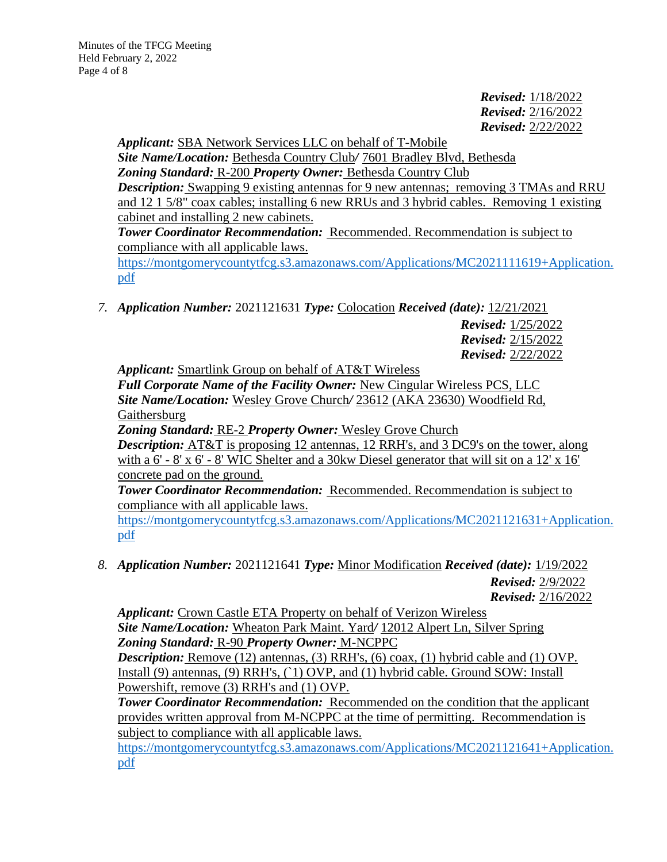*Revised:* 1/18/2022 *Revised:* 2/16/2022 *Revised:* 2/22/2022

*Applicant:* SBA Network Services LLC on behalf of T-Mobile *Site Name/Location:* Bethesda Country Club*/* 7601 Bradley Blvd, Bethesda *Zoning Standard:* R-200 *Property Owner:* Bethesda Country Club *Description:* Swapping 9 existing antennas for 9 new antennas; removing 3 TMAs and RRU and 12 1 5/8" coax cables; installing 6 new RRUs and 3 hybrid cables. Removing 1 existing cabinet and installing 2 new cabinets. *Tower Coordinator Recommendation:* Recommended. Recommendation is subject to compliance with all applicable laws.

[https://montgomerycountytfcg.s3.amazonaws.com/Applications/MC2021111619+Application.](https://montgomerycountytfcg.s3.amazonaws.com/Applications/MC2021111619+Application.pdf) [pdf](https://montgomerycountytfcg.s3.amazonaws.com/Applications/MC2021111619+Application.pdf)

*7. Application Number:* 2021121631 *Type:* Colocation *Received (date):* 12/21/2021

*Revised:* 1/25/2022 *Revised:* 2/15/2022 *Revised:* 2/22/2022

*Applicant:* Smartlink Group on behalf of AT&T Wireless

*Full Corporate Name of the Facility Owner:* New Cingular Wireless PCS, LLC *Site Name/Location:* Wesley Grove Church*/* 23612 (AKA 23630) Woodfield Rd, Gaithersburg

*Zoning Standard:* RE-2 *Property Owner:* Wesley Grove Church *Description:* AT&T is proposing 12 antennas, 12 RRH's, and 3 DC9's on the tower, along with a  $6'$  -  $8'$  x  $6'$  -  $8'$  WIC Shelter and a 30kw Diesel generator that will sit on a 12' x 16' concrete pad on the ground.

*Tower Coordinator Recommendation:* Recommended. Recommendation is subject to compliance with all applicable laws.

[https://montgomerycountytfcg.s3.amazonaws.com/Applications/MC2021121631+Application.](https://montgomerycountytfcg.s3.amazonaws.com/Applications/MC2021121631+Application.pdf) [pdf](https://montgomerycountytfcg.s3.amazonaws.com/Applications/MC2021121631+Application.pdf)

*8. Application Number:* 2021121641 *Type:* Minor Modification *Received (date):* 1/19/2022

*Revised:* 2/9/2022 *Revised:* 2/16/2022

*Applicant:* Crown Castle ETA Property on behalf of Verizon Wireless *Site Name/Location:* Wheaton Park Maint. Yard*/* 12012 Alpert Ln, Silver Spring *Zoning Standard:* R-90 *Property Owner:* M-NCPPC

*Description:* Remove (12) antennas, (3) RRH's, (6) coax, (1) hybrid cable and (1) OVP. Install (9) antennas, (9) RRH's, (`1) OVP, and (1) hybrid cable. Ground SOW: Install Powershift, remove (3) RRH's and (1) OVP.

**Tower Coordinator Recommendation:** Recommended on the condition that the applicant provides written approval from M-NCPPC at the time of permitting. Recommendation is subject to compliance with all applicable laws.

[https://montgomerycountytfcg.s3.amazonaws.com/Applications/MC2021121641+Application.](https://montgomerycountytfcg.s3.amazonaws.com/Applications/MC2021121641+Application.pdf) [pdf](https://montgomerycountytfcg.s3.amazonaws.com/Applications/MC2021121641+Application.pdf)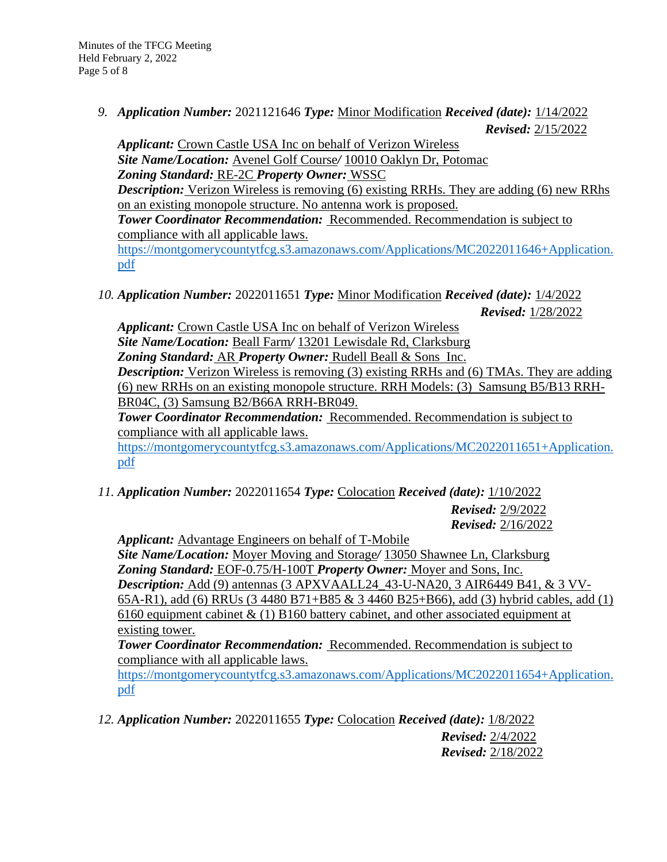*9. Application Number:* 2021121646 *Type:* Minor Modification *Received (date):* 1/14/2022 *Revised:* 2/15/2022

*Applicant:* Crown Castle USA Inc on behalf of Verizon Wireless *Site Name/Location:* Avenel Golf Course*/* 10010 Oaklyn Dr, Potomac *Zoning Standard:* RE-2C *Property Owner:* WSSC *Description:* Verizon Wireless is removing (6) existing RRHs. They are adding (6) new RRhs on an existing monopole structure. No antenna work is proposed. *Tower Coordinator Recommendation:* Recommended. Recommendation is subject to compliance with all applicable laws. [https://montgomerycountytfcg.s3.amazonaws.com/Applications/MC2022011646+Application.](https://montgomerycountytfcg.s3.amazonaws.com/Applications/MC2022011646+Application.pdf) [pdf](https://montgomerycountytfcg.s3.amazonaws.com/Applications/MC2022011646+Application.pdf)

*10. Application Number:* 2022011651 *Type:* Minor Modification *Received (date):* 1/4/2022 *Revised:* 1/28/2022

*Applicant:* Crown Castle USA Inc on behalf of Verizon Wireless *Site Name/Location:* Beall Farm*/* 13201 Lewisdale Rd, Clarksburg *Zoning Standard:* AR *Property Owner:* Rudell Beall & Sons Inc. *Description:* Verizon Wireless is removing (3) existing RRHs and (6) TMAs. They are adding (6) new RRHs on an existing monopole structure. RRH Models: (3) Samsung B5/B13 RRH-BR04C, (3) Samsung B2/B66A RRH-BR049.

*Tower Coordinator Recommendation:* Recommended. Recommendation is subject to compliance with all applicable laws.

[https://montgomerycountytfcg.s3.amazonaws.com/Applications/MC2022011651+Application.](https://montgomerycountytfcg.s3.amazonaws.com/Applications/MC2022011651+Application.pdf) [pdf](https://montgomerycountytfcg.s3.amazonaws.com/Applications/MC2022011651+Application.pdf)

*11. Application Number:* 2022011654 *Type:* Colocation *Received (date):* 1/10/2022

*Revised:* 2/9/2022 *Revised:* 2/16/2022

*Applicant:* Advantage Engineers on behalf of T-Mobile *Site Name/Location:* Moyer Moving and Storage*/* 13050 Shawnee Ln, Clarksburg *Zoning Standard:* EOF-0.75/H-100T *Property Owner:* Moyer and Sons, Inc. *Description:* Add (9) antennas (3 APXVAALL24\_43-U-NA20, 3 AIR6449 B41, & 3 VV-65A-R1), add (6) RRUs (3 4480 B71+B85 & 3 4460 B25+B66), add (3) hybrid cables, add (1) 6160 equipment cabinet  $\&$  (1) B160 battery cabinet, and other associated equipment at existing tower.

*Tower Coordinator Recommendation:* Recommended. Recommendation is subject to compliance with all applicable laws.

[https://montgomerycountytfcg.s3.amazonaws.com/Applications/MC2022011654+Application.](https://montgomerycountytfcg.s3.amazonaws.com/Applications/MC2022011654+Application.pdf) [pdf](https://montgomerycountytfcg.s3.amazonaws.com/Applications/MC2022011654+Application.pdf)

*12. Application Number:* 2022011655 *Type:* Colocation *Received (date):* 1/8/2022 *Revised:* 2/4/2022 *Revised:* 2/18/2022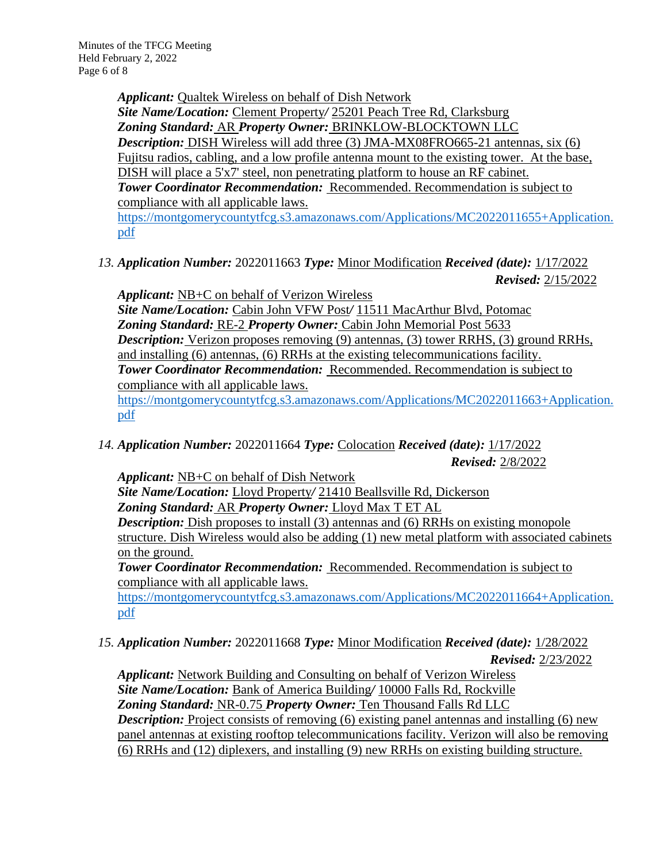*Applicant:* Qualtek Wireless on behalf of Dish Network

*Site Name/Location:* Clement Property*/* 25201 Peach Tree Rd, Clarksburg *Zoning Standard:* AR *Property Owner:* BRINKLOW-BLOCKTOWN LLC *Description:* DISH Wireless will add three (3) JMA-MX08FRO665-21 antennas, six (6) Fujitsu radios, cabling, and a low profile antenna mount to the existing tower. At the base, DISH will place a 5'x7' steel, non penetrating platform to house an RF cabinet. *Tower Coordinator Recommendation:* Recommended. Recommendation is subject to compliance with all applicable laws.

[https://montgomerycountytfcg.s3.amazonaws.com/Applications/MC2022011655+Application.](https://montgomerycountytfcg.s3.amazonaws.com/Applications/MC2022011655+Application.pdf) [pdf](https://montgomerycountytfcg.s3.amazonaws.com/Applications/MC2022011655+Application.pdf)

*13. Application Number:* 2022011663 *Type:* Minor Modification *Received (date):* 1/17/2022 *Revised:* 2/15/2022

*Applicant:* NB+C on behalf of Verizon Wireless

*Site Name/Location:* Cabin John VFW Post*/* 11511 MacArthur Blvd, Potomac *Zoning Standard:* RE-2 *Property Owner:* Cabin John Memorial Post 5633 *Description:* Verizon proposes removing (9) antennas, (3) tower RRHS, (3) ground RRHs, and installing (6) antennas, (6) RRHs at the existing telecommunications facility. *Tower Coordinator Recommendation:* Recommended. Recommendation is subject to compliance with all applicable laws.

[https://montgomerycountytfcg.s3.amazonaws.com/Applications/MC2022011663+Application.](https://montgomerycountytfcg.s3.amazonaws.com/Applications/MC2022011663+Application.pdf) [pdf](https://montgomerycountytfcg.s3.amazonaws.com/Applications/MC2022011663+Application.pdf)

*14. Application Number:* 2022011664 *Type:* Colocation *Received (date):* 1/17/2022 *Revised:* 2/8/2022

*Applicant:* NB+C on behalf of Dish Network

*Site Name/Location:* Lloyd Property*/* 21410 Beallsville Rd, Dickerson

*Zoning Standard:* AR *Property Owner:* Lloyd Max T ET AL

*Description:* Dish proposes to install (3) antennas and (6) RRHs on existing monopole structure. Dish Wireless would also be adding (1) new metal platform with associated cabinets on the ground.

*Tower Coordinator Recommendation:* Recommended. Recommendation is subject to compliance with all applicable laws.

[https://montgomerycountytfcg.s3.amazonaws.com/Applications/MC2022011664+Application.](https://montgomerycountytfcg.s3.amazonaws.com/Applications/MC2022011664+Application.pdf) [pdf](https://montgomerycountytfcg.s3.amazonaws.com/Applications/MC2022011664+Application.pdf)

*15. Application Number:* 2022011668 *Type:* Minor Modification *Received (date):* 1/28/2022

*Revised:* 2/23/2022

*Applicant:* Network Building and Consulting on behalf of Verizon Wireless *Site Name/Location:* Bank of America Building*/* 10000 Falls Rd, Rockville *Zoning Standard:* NR-0.75 *Property Owner:* Ten Thousand Falls Rd LLC *Description:* Project consists of removing (6) existing panel antennas and installing (6) new panel antennas at existing rooftop telecommunications facility. Verizon will also be removing (6) RRHs and (12) diplexers, and installing (9) new RRHs on existing building structure.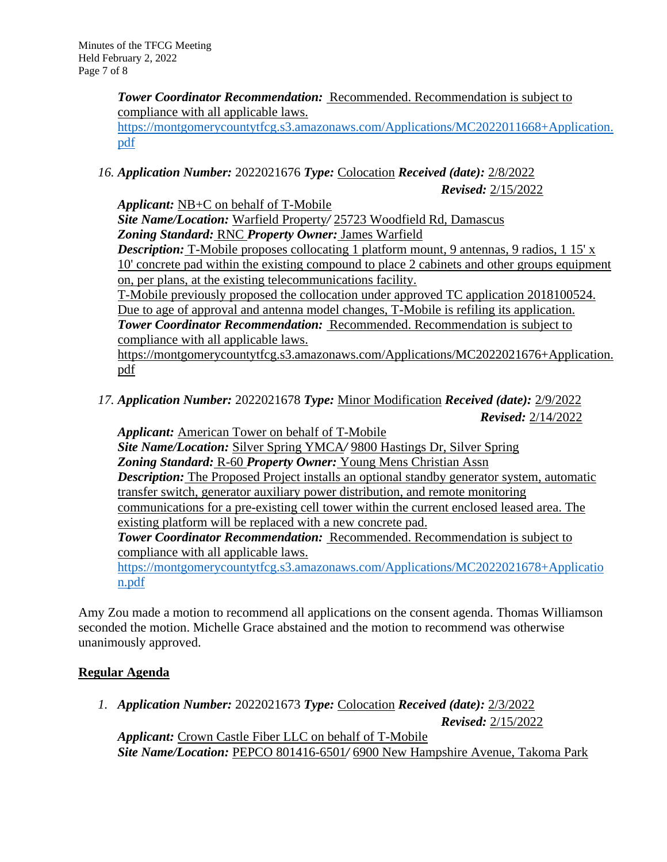*Tower Coordinator Recommendation:* Recommended. Recommendation is subject to compliance with all applicable laws.

[https://montgomerycountytfcg.s3.amazonaws.com/Applications/MC2022011668+Application.](https://montgomerycountytfcg.s3.amazonaws.com/Applications/MC2022011668+Application.pdf) [pdf](https://montgomerycountytfcg.s3.amazonaws.com/Applications/MC2022011668+Application.pdf)

*16. Application Number:* 2022021676 *Type:* Colocation *Received (date):* 2/8/2022 *Revised:* 2/15/2022

*Applicant:* NB+C on behalf of T-Mobile *Site Name/Location:* Warfield Property*/* 25723 Woodfield Rd, Damascus *Zoning Standard:* RNC *Property Owner:* James Warfield

*Description:* T-Mobile proposes collocating 1 platform mount, 9 antennas, 9 radios, 1 15' x 10' concrete pad within the existing compound to place 2 cabinets and other groups equipment on, per plans, at the existing telecommunications facility.

T-Mobile previously proposed the collocation under approved TC application 2018100524. Due to age of approval and antenna model changes, T-Mobile is refiling its application. *Tower Coordinator Recommendation:* Recommended. Recommendation is subject to compliance with all applicable laws.

https://montgomerycountytfcg.s3.amazonaws.com/Applications/MC2022021676+Application. pdf

*17. Application Number:* 2022021678 *Type:* Minor Modification *Received (date):* 2/9/2022 *Revised:* 2/14/2022

*Applicant:* American Tower on behalf of T-Mobile *Site Name/Location:* Silver Spring YMCA*/* 9800 Hastings Dr, Silver Spring *Zoning Standard:* R-60 *Property Owner:* Young Mens Christian Assn *Description:* The Proposed Project installs an optional standby generator system, automatic transfer switch, generator auxiliary power distribution, and remote monitoring communications for a pre-existing cell tower within the current enclosed leased area. The existing platform will be replaced with a new concrete pad. *Tower Coordinator Recommendation:* Recommended. Recommendation is subject to compliance with all applicable laws.

[https://montgomerycountytfcg.s3.amazonaws.com/Applications/MC2022021678+Applicatio](https://montgomerycountytfcg.s3.amazonaws.com/Applications/MC2022021678+Application.pdf) [n.pdf](https://montgomerycountytfcg.s3.amazonaws.com/Applications/MC2022021678+Application.pdf)

Amy Zou made a motion to recommend all applications on the consent agenda. Thomas Williamson seconded the motion. Michelle Grace abstained and the motion to recommend was otherwise unanimously approved.

# **Regular Agenda**

*1. Application Number:* 2022021673 *Type:* Colocation *Received (date):* 2/3/2022

*Revised:* 2/15/2022

*Applicant:* Crown Castle Fiber LLC on behalf of T-Mobile *Site Name/Location:* PEPCO 801416-6501*/* 6900 New Hampshire Avenue, Takoma Park